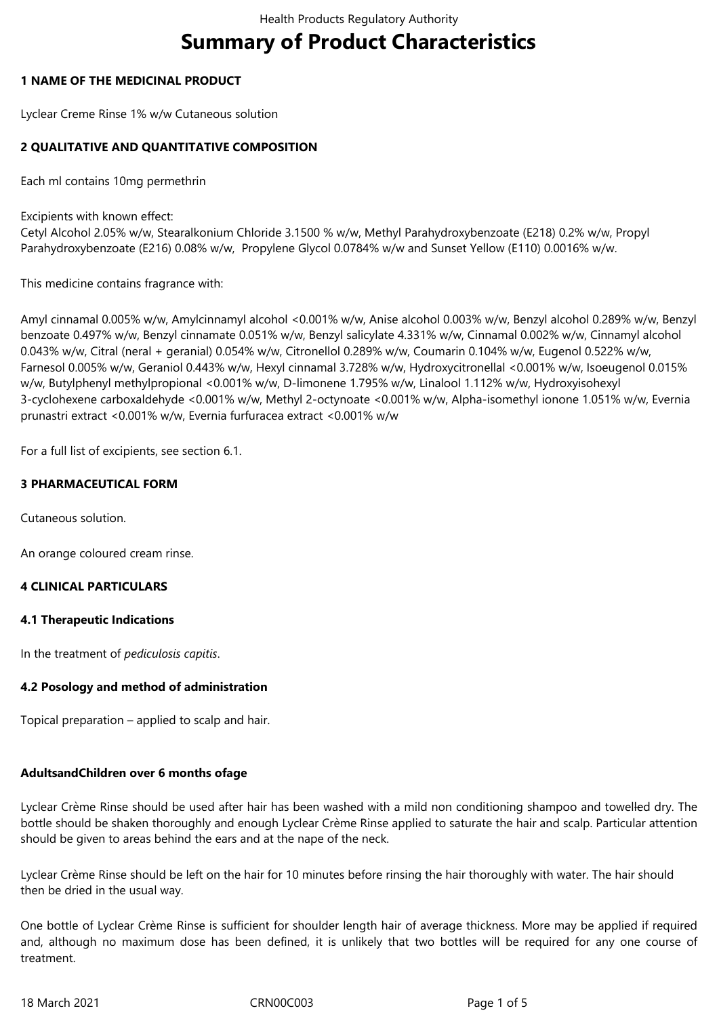# **Summary of Product Characteristics**

## **1 NAME OF THE MEDICINAL PRODUCT**

Lyclear Creme Rinse 1% w/w Cutaneous solution

## **2 QUALITATIVE AND QUANTITATIVE COMPOSITION**

Each ml contains 10mg permethrin

Excipients with known effect:

Cetyl Alcohol 2.05% w/w, Stearalkonium Chloride 3.1500 % w/w, Methyl Parahydroxybenzoate (E218) 0.2% w/w, Propyl Parahydroxybenzoate (E216) 0.08% w/w, Propylene Glycol 0.0784% w/w and Sunset Yellow (E110) 0.0016% w/w.

This medicine contains fragrance with:

Amyl cinnamal 0.005% w/w, Amylcinnamyl alcohol <0.001% w/w, Anise alcohol 0.003% w/w, Benzyl alcohol 0.289% w/w, Benzyl benzoate 0.497% w/w, Benzyl cinnamate 0.051% w/w, Benzyl salicylate 4.331% w/w, Cinnamal 0.002% w/w, Cinnamyl alcohol 0.043% w/w, Citral (neral + geranial) 0.054% w/w, Citronellol 0.289% w/w, Coumarin 0.104% w/w, Eugenol 0.522% w/w, Farnesol 0.005% w/w, Geraniol 0.443% w/w, Hexyl cinnamal 3.728% w/w, Hydroxycitronellal <0.001% w/w, Isoeugenol 0.015% w/w, Butylphenyl methylpropional <0.001% w/w, D-limonene 1.795% w/w, Linalool 1.112% w/w, Hydroxyisohexyl 3-cyclohexene carboxaldehyde <0.001% w/w, Methyl 2-octynoate <0.001% w/w, Alpha-isomethyl ionone 1.051% w/w, Evernia prunastri extract <0.001% w/w, Evernia furfuracea extract <0.001% w/w

For a full list of excipients, see section 6.1.

## **3 PHARMACEUTICAL FORM**

Cutaneous solution.

An orange coloured cream rinse.

## **4 CLINICAL PARTICULARS**

#### **4.1 Therapeutic Indications**

In the treatment of *pediculosis capitis*.

#### **4.2 Posology and method of administration**

Topical preparation – applied to scalp and hair.

#### **AdultsandChildren over 6 months ofage**

Lyclear Crème Rinse should be used after hair has been washed with a mild non conditioning shampoo and towelled dry. The bottle should be shaken thoroughly and enough Lyclear Crème Rinse applied to saturate the hair and scalp. Particular attention should be given to areas behind the ears and at the nape of the neck.

Lyclear Crème Rinse should be left on the hair for 10 minutes before rinsing the hair thoroughly with water. The hair should then be dried in the usual way.

One bottle of Lyclear Crème Rinse is sufficient for shoulder length hair of average thickness. More may be applied if required and, although no maximum dose has been defined, it is unlikely that two bottles will be required for any one course of treatment.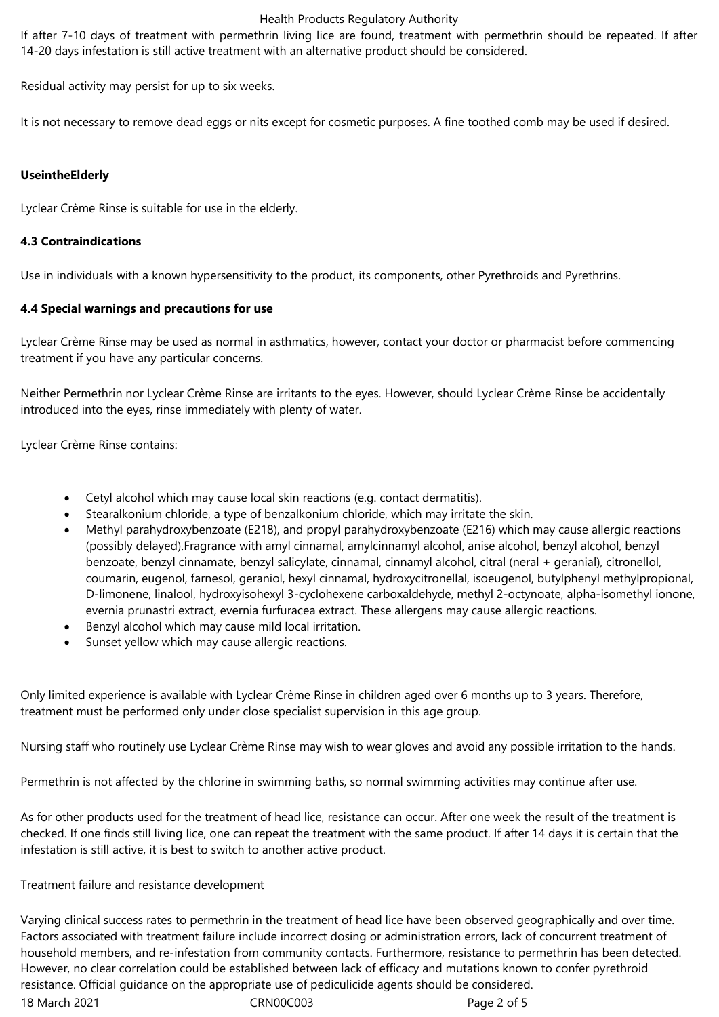#### Health Products Regulatory Authority

If after 7-10 days of treatment with permethrin living lice are found, treatment with permethrin should be repeated. If after 14-20 days infestation is still active treatment with an alternative product should be considered.

Residual activity may persist for up to six weeks.

It is not necessary to remove dead eggs or nits except for cosmetic purposes. A fine toothed comb may be used if desired.

## **UseintheElderly**

Lyclear Crème Rinse is suitable for use in the elderly.

## **4.3 Contraindications**

Use in individuals with a known hypersensitivity to the product, its components, other Pyrethroids and Pyrethrins.

## **4.4 Special warnings and precautions for use**

Lyclear Crème Rinse may be used as normal in asthmatics, however, contact your doctor or pharmacist before commencing treatment if you have any particular concerns.

Neither Permethrin nor Lyclear Crème Rinse are irritants to the eyes. However, should Lyclear Crème Rinse be accidentally introduced into the eyes, rinse immediately with plenty of water.

Lyclear Crème Rinse contains:

- Cetyl alcohol which may cause local skin reactions (e.g. contact dermatitis).
- Stearalkonium chloride, a type of benzalkonium chloride, which may irritate the skin.
- Methyl parahydroxybenzoate (E218), and propyl parahydroxybenzoate (E216) which may cause allergic reactions (possibly delayed).Fragrance with amyl cinnamal, amylcinnamyl alcohol, anise alcohol, benzyl alcohol, benzyl benzoate, benzyl cinnamate, benzyl salicylate, cinnamal, cinnamyl alcohol, citral (neral + geranial), citronellol, coumarin, eugenol, farnesol, geraniol, hexyl cinnamal, hydroxycitronellal, isoeugenol, butylphenyl methylpropional, D-limonene, linalool, hydroxyisohexyl 3-cyclohexene carboxaldehyde, methyl 2-octynoate, alpha-isomethyl ionone, evernia prunastri extract, evernia furfuracea extract. These allergens may cause allergic reactions.
- Benzyl alcohol which may cause mild local irritation.
- Sunset yellow which may cause allergic reactions.

Only limited experience is available with Lyclear Crème Rinse in children aged over 6 months up to 3 years. Therefore, treatment must be performed only under close specialist supervision in this age group.

Nursing staff who routinely use Lyclear Crème Rinse may wish to wear gloves and avoid any possible irritation to the hands.

Permethrin is not affected by the chlorine in swimming baths, so normal swimming activities may continue after use.

As for other products used for the treatment of head lice, resistance can occur. After one week the result of the treatment is checked. If one finds still living lice, one can repeat the treatment with the same product. If after 14 days it is certain that the infestation is still active, it is best to switch to another active product.

#### Treatment failure and resistance development

Varying clinical success rates to permethrin in the treatment of head lice have been observed geographically and over time. Factors associated with treatment failure include incorrect dosing or administration errors, lack of concurrent treatment of household members, and re-infestation from community contacts. Furthermore, resistance to permethrin has been detected. However, no clear correlation could be established between lack of efficacy and mutations known to confer pyrethroid resistance. Official guidance on the appropriate use of pediculicide agents should be considered.

18 March 2021 CRN00C003 Page 2 of 5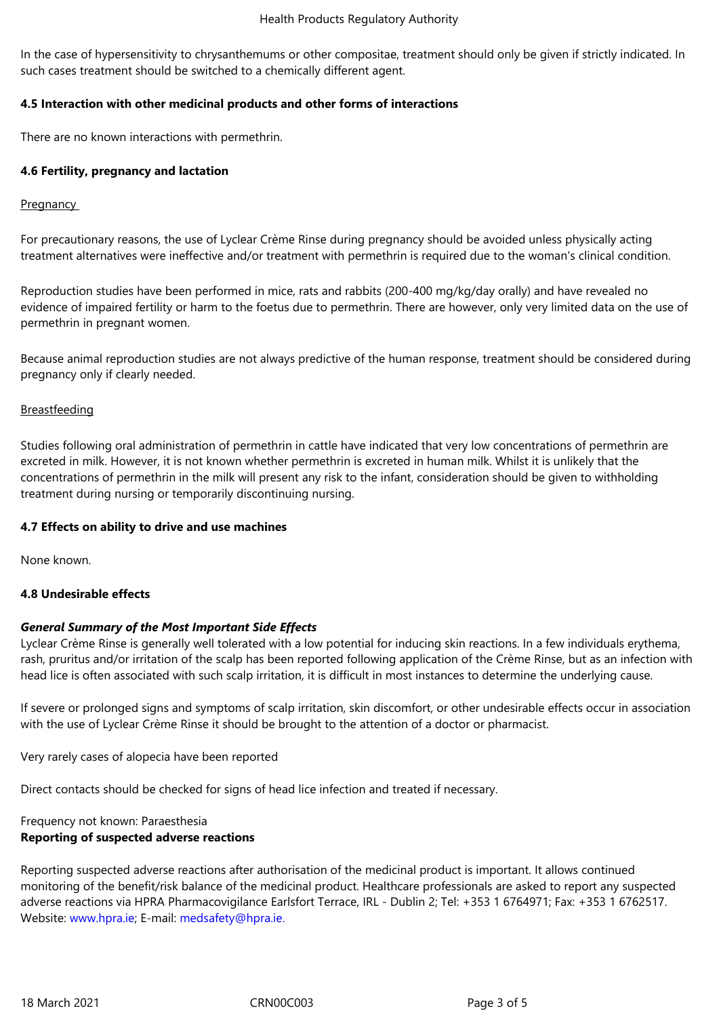In the case of hypersensitivity to chrysanthemums or other compositae, treatment should only be given if strictly indicated. In such cases treatment should be switched to a chemically different agent.

## **4.5 Interaction with other medicinal products and other forms of interactions**

There are no known interactions with permethrin.

## **4.6 Fertility, pregnancy and lactation**

#### **Pregnancy**

For precautionary reasons, the use of Lyclear Crème Rinse during pregnancy should be avoided unless physically acting treatment alternatives were ineffective and/or treatment with permethrin is required due to the woman's clinical condition.

Reproduction studies have been performed in mice, rats and rabbits (200-400 mg/kg/day orally) and have revealed no evidence of impaired fertility or harm to the foetus due to permethrin. There are however, only very limited data on the use of permethrin in pregnant women.

Because animal reproduction studies are not always predictive of the human response, treatment should be considered during pregnancy only if clearly needed.

## Breastfeeding

Studies following oral administration of permethrin in cattle have indicated that very low concentrations of permethrin are excreted in milk. However, it is not known whether permethrin is excreted in human milk. Whilst it is unlikely that the concentrations of permethrin in the milk will present any risk to the infant, consideration should be given to withholding treatment during nursing or temporarily discontinuing nursing.

#### **4.7 Effects on ability to drive and use machines**

None known.

## **4.8 Undesirable effects**

## *General Summary of the Most Important Side Effects*

Lyclear Crème Rinse is generally well tolerated with a low potential for inducing skin reactions. In a few individuals erythema, rash, pruritus and/or irritation of the scalp has been reported following application of the Crème Rinse, but as an infection with head lice is often associated with such scalp irritation, it is difficult in most instances to determine the underlying cause.

If severe or prolonged signs and symptoms of scalp irritation, skin discomfort, or other undesirable effects occur in association with the use of Lyclear Crème Rinse it should be brought to the attention of a doctor or pharmacist.

Very rarely cases of alopecia have been reported

Direct contacts should be checked for signs of head lice infection and treated if necessary.

## Frequency not known: Paraesthesia **Reporting of suspected adverse reactions**

Reporting suspected adverse reactions after authorisation of the medicinal product is important. It allows continued monitoring of the benefit/risk balance of the medicinal product. Healthcare professionals are asked to report any suspected adverse reactions via HPRA Pharmacovigilance Earlsfort Terrace, IRL - Dublin 2; Tel: +353 1 6764971; Fax: +353 1 6762517. Website: www.hpra.ie; E-mail: medsafety@hpra.ie.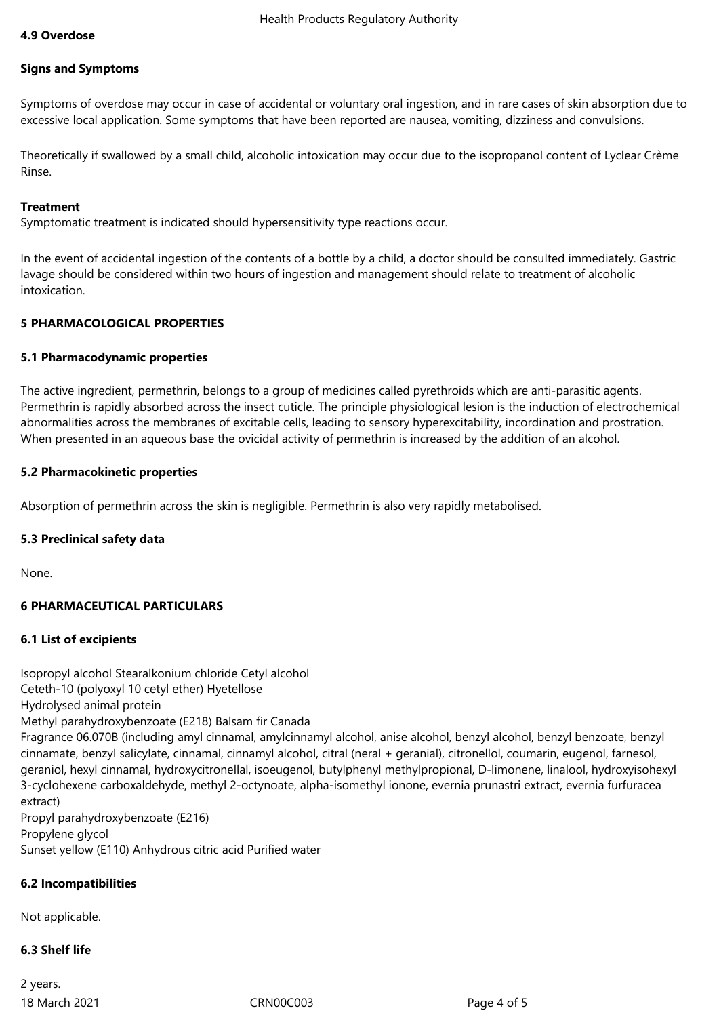#### **Signs and Symptoms**

Symptoms of overdose may occur in case of accidental or voluntary oral ingestion, and in rare cases of skin absorption due to excessive local application. Some symptoms that have been reported are nausea, vomiting, dizziness and convulsions.

Theoretically if swallowed by a small child, alcoholic intoxication may occur due to the isopropanol content of Lyclear Crème Rinse.

#### **Treatment**

Symptomatic treatment is indicated should hypersensitivity type reactions occur.

In the event of accidental ingestion of the contents of a bottle by a child, a doctor should be consulted immediately. Gastric lavage should be considered within two hours of ingestion and management should relate to treatment of alcoholic intoxication.

#### **5 PHARMACOLOGICAL PROPERTIES**

#### **5.1 Pharmacodynamic properties**

The active ingredient, permethrin, belongs to a group of medicines called pyrethroids which are anti-parasitic agents. Permethrin is rapidly absorbed across the insect cuticle. The principle physiological lesion is the induction of electrochemical abnormalities across the membranes of excitable cells, leading to sensory hyperexcitability, incordination and prostration. When presented in an aqueous base the ovicidal activity of permethrin is increased by the addition of an alcohol.

#### **5.2 Pharmacokinetic properties**

Absorption of permethrin across the skin is negligible. Permethrin is also very rapidly metabolised.

#### **5.3 Preclinical safety data**

None.

#### **6 PHARMACEUTICAL PARTICULARS**

#### **6.1 List of excipients**

Isopropyl alcohol Stearalkonium chloride Cetyl alcohol Ceteth-10 (polyoxyl 10 cetyl ether) Hyetellose Hydrolysed animal protein Methyl parahydroxybenzoate (E218) Balsam fir Canada Fragrance 06.070B (including amyl cinnamal, amylcinnamyl alcohol, anise alcohol, benzyl alcohol, benzyl benzoate, benzyl cinnamate, benzyl salicylate, cinnamal, cinnamyl alcohol, citral (neral + geranial), citronellol, coumarin, eugenol, farnesol, geraniol, hexyl cinnamal, hydroxycitronellal, isoeugenol, butylphenyl methylpropional, D-limonene, linalool, hydroxyisohexyl 3-cyclohexene carboxaldehyde, methyl 2-octynoate, alpha-isomethyl ionone, evernia prunastri extract, evernia furfuracea extract) Propyl parahydroxybenzoate (E216) Propylene glycol Sunset yellow (E110) Anhydrous citric acid Purified water

#### **6.2 Incompatibilities**

Not applicable.

#### **6.3 Shelf life**

18 March 2021 CRN00C003 Page 4 of 5 2 years.